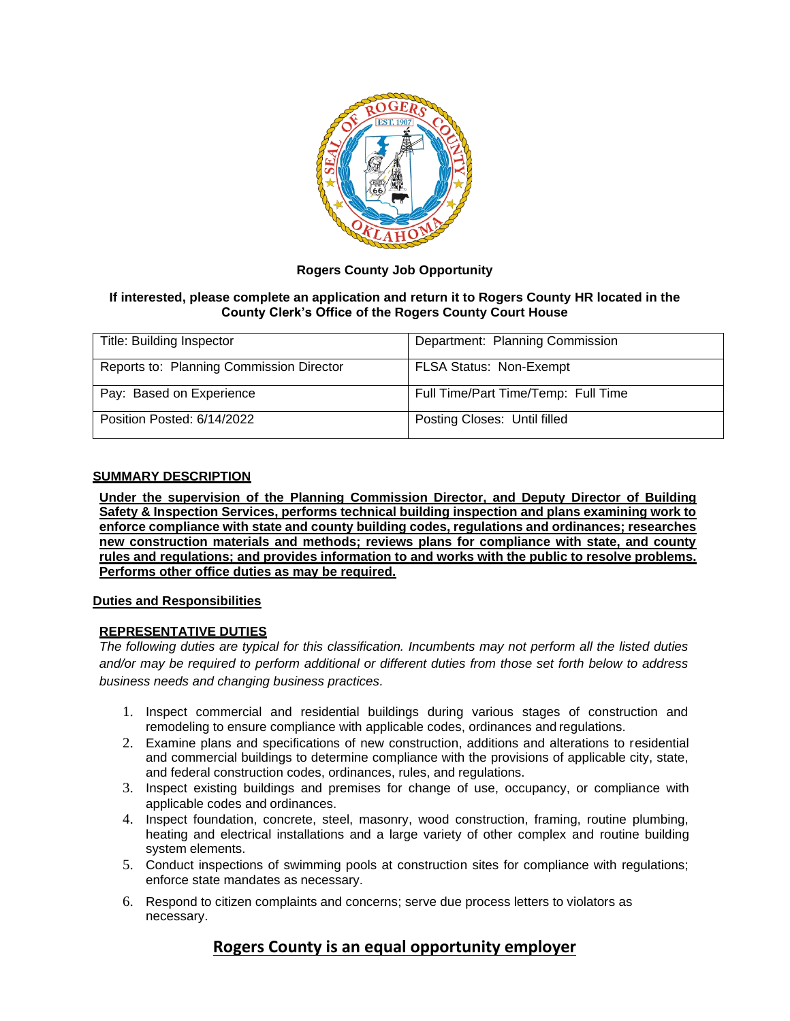

## **Rogers County Job Opportunity**

### **If interested, please complete an application and return it to Rogers County HR located in the County Clerk's Office of the Rogers County Court House**

| <b>Title: Building Inspector</b>         | Department: Planning Commission     |
|------------------------------------------|-------------------------------------|
| Reports to: Planning Commission Director | <b>FLSA Status: Non-Exempt</b>      |
| Pay: Based on Experience                 | Full Time/Part Time/Temp: Full Time |
| Position Posted: 6/14/2022               | Posting Closes: Until filled        |

#### **SUMMARY DESCRIPTION**

**Under the supervision of the Planning Commission Director, and Deputy Director of Building Safety & Inspection Services, performs technical building inspection and plans examining work to enforce compliance with state and county building codes, regulations and ordinances; researches new construction materials and methods; reviews plans for compliance with state, and county rules and regulations; and provides information to and works with the public to resolve problems. Performs other office duties as may be required.**

#### **Duties and Responsibilities**

#### **REPRESENTATIVE DUTIES**

*The following duties are typical for this classification. Incumbents may not perform all the listed duties and/or may be required to perform additional or different duties from those set forth below to address business needs and changing business practices.*

- 1. Inspect commercial and residential buildings during various stages of construction and remodeling to ensure compliance with applicable codes, ordinances and regulations.
- 2. Examine plans and specifications of new construction, additions and alterations to residential and commercial buildings to determine compliance with the provisions of applicable city, state, and federal construction codes, ordinances, rules, and regulations.
- 3. Inspect existing buildings and premises for change of use, occupancy, or compliance with applicable codes and ordinances.
- 4. Inspect foundation, concrete, steel, masonry, wood construction, framing, routine plumbing, heating and electrical installations and a large variety of other complex and routine building system elements.
- 5. Conduct inspections of swimming pools at construction sites for compliance with regulations; enforce state mandates as necessary.
- 6. Respond to citizen complaints and concerns; serve due process letters to violators as necessary.

# **Rogers County is an equal opportunity employer**